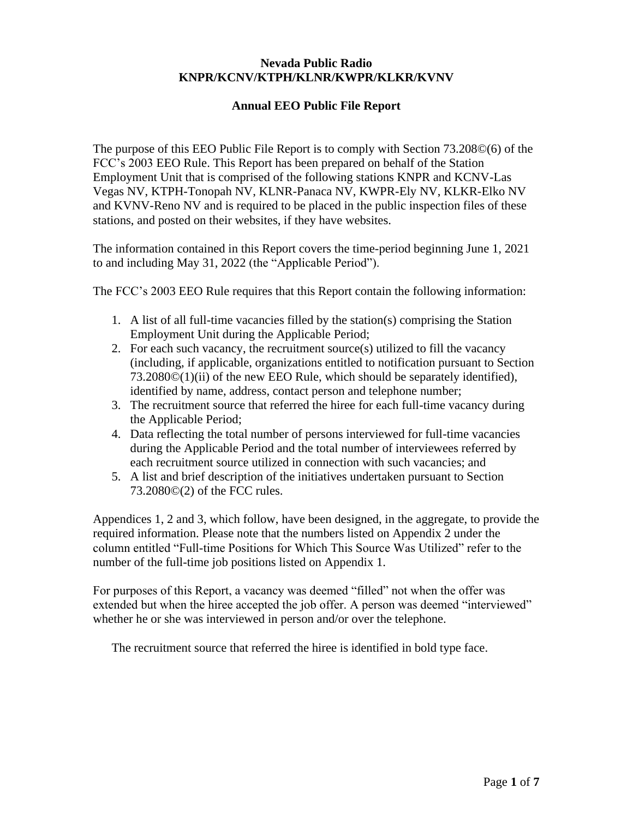#### **Nevada Public Radio KNPR/KCNV/KTPH/KLNR/KWPR/KLKR/KVNV**

### **Annual EEO Public File Report**

The purpose of this EEO Public File Report is to comply with Section 73.208©(6) of the FCC's 2003 EEO Rule. This Report has been prepared on behalf of the Station Employment Unit that is comprised of the following stations KNPR and KCNV-Las Vegas NV, KTPH-Tonopah NV, KLNR-Panaca NV, KWPR-Ely NV, KLKR-Elko NV and KVNV-Reno NV and is required to be placed in the public inspection files of these stations, and posted on their websites, if they have websites.

The information contained in this Report covers the time-period beginning June 1, 2021 to and including May 31, 2022 (the "Applicable Period").

The FCC's 2003 EEO Rule requires that this Report contain the following information:

- 1. A list of all full-time vacancies filled by the station(s) comprising the Station Employment Unit during the Applicable Period;
- 2. For each such vacancy, the recruitment source(s) utilized to fill the vacancy (including, if applicable, organizations entitled to notification pursuant to Section 73.2080©(1)(ii) of the new EEO Rule, which should be separately identified), identified by name, address, contact person and telephone number;
- 3. The recruitment source that referred the hiree for each full-time vacancy during the Applicable Period;
- 4. Data reflecting the total number of persons interviewed for full-time vacancies during the Applicable Period and the total number of interviewees referred by each recruitment source utilized in connection with such vacancies; and
- 5. A list and brief description of the initiatives undertaken pursuant to Section 73.2080©(2) of the FCC rules.

Appendices 1, 2 and 3, which follow, have been designed, in the aggregate, to provide the required information. Please note that the numbers listed on Appendix 2 under the column entitled "Full-time Positions for Which This Source Was Utilized" refer to the number of the full-time job positions listed on Appendix 1.

For purposes of this Report, a vacancy was deemed "filled" not when the offer was extended but when the hiree accepted the job offer. A person was deemed "interviewed" whether he or she was interviewed in person and/or over the telephone.

The recruitment source that referred the hiree is identified in bold type face.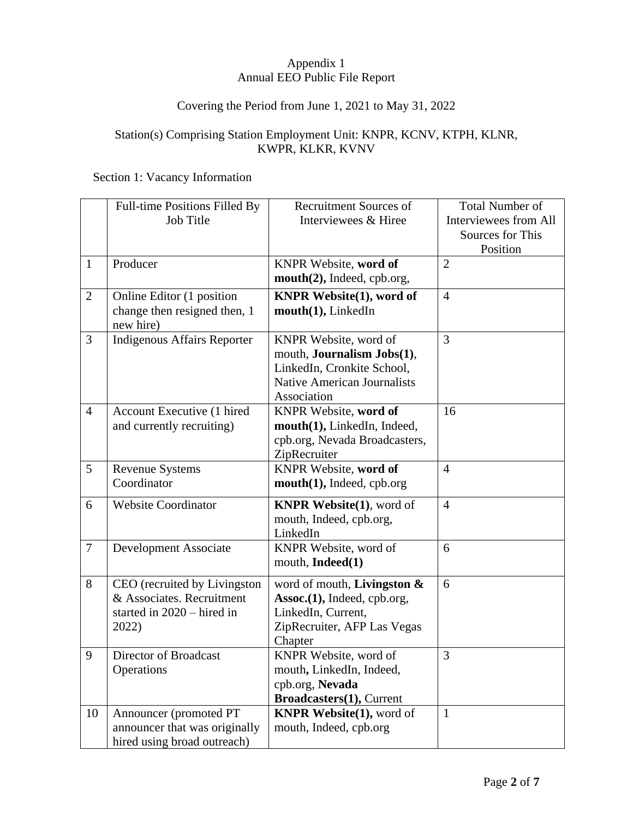### Appendix 1 Annual EEO Public File Report

# Covering the Period from June 1, 2021 to May 31, 2022

### Station(s) Comprising Station Employment Unit: KNPR, KCNV, KTPH, KLNR, KWPR, KLKR, KVNV

#### Section 1: Vacancy Information

|                | Full-time Positions Filled By      | <b>Recruitment Sources of</b>      | <b>Total Number of</b>       |
|----------------|------------------------------------|------------------------------------|------------------------------|
|                | <b>Job Title</b>                   | Interviewees & Hiree               | <b>Interviewees from All</b> |
|                |                                    |                                    | Sources for This             |
|                |                                    |                                    | Position                     |
| $\mathbf{1}$   | Producer                           | KNPR Website, word of              | $\overline{2}$               |
|                |                                    | mouth(2), Indeed, cpb.org,         |                              |
| $\overline{2}$ | Online Editor (1 position          | <b>KNPR Website(1), word of</b>    | $\overline{4}$               |
|                | change then resigned then, 1       | mouth(1), LinkedIn                 |                              |
|                | new hire)                          |                                    |                              |
| 3              | <b>Indigenous Affairs Reporter</b> | KNPR Website, word of              | 3                            |
|                |                                    | mouth, <b>Journalism Jobs(1)</b> , |                              |
|                |                                    | LinkedIn, Cronkite School,         |                              |
|                |                                    | <b>Native American Journalists</b> |                              |
|                |                                    | Association                        |                              |
| $\overline{4}$ | Account Executive (1 hired         | KNPR Website, word of              | 16                           |
|                | and currently recruiting)          | mouth(1), LinkedIn, Indeed,        |                              |
|                |                                    | cpb.org, Nevada Broadcasters,      |                              |
|                |                                    | ZipRecruiter                       |                              |
| 5              | Revenue Systems                    | KNPR Website, word of              | $\overline{4}$               |
|                | Coordinator                        | mouth(1), Indeed, cpb.org          |                              |
| 6              | <b>Website Coordinator</b>         | <b>KNPR Website(1)</b> , word of   | $\overline{4}$               |
|                |                                    | mouth, Indeed, cpb.org,            |                              |
|                |                                    | LinkedIn                           |                              |
| $\overline{7}$ | Development Associate              | KNPR Website, word of              | 6                            |
|                |                                    | mouth, Indeed(1)                   |                              |
| 8              | CEO (recruited by Livingston       | word of mouth, Livingston $\&$     | 6                            |
|                | & Associates. Recruitment          | Assoc.(1), Indeed, cpb.org,        |                              |
|                | started in 2020 – hired in         | LinkedIn, Current,                 |                              |
|                | 2022)                              | ZipRecruiter, AFP Las Vegas        |                              |
|                |                                    | Chapter                            |                              |
| 9              | Director of Broadcast              | KNPR Website, word of              | 3                            |
|                | Operations                         | mouth, LinkedIn, Indeed,           |                              |
|                |                                    | cpb.org, Nevada                    |                              |
|                |                                    | Broadcasters(1), Current           |                              |
| 10             | Announcer (promoted PT             | <b>KNPR Website(1), word of</b>    | $\mathbf{1}$                 |
|                | announcer that was originally      | mouth, Indeed, cpb.org             |                              |
|                | hired using broad outreach)        |                                    |                              |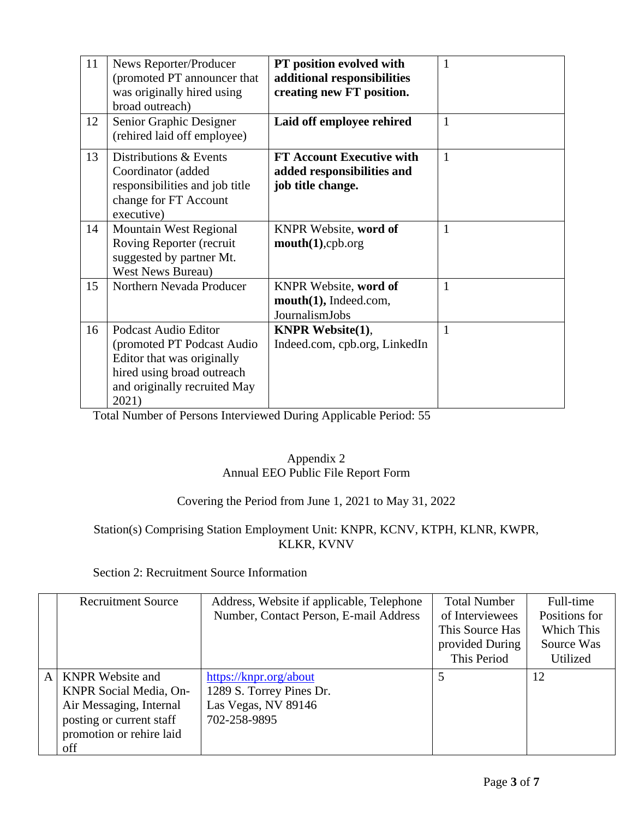| 11<br>12 | News Reporter/Producer<br>(promoted PT announcer that<br>was originally hired using<br>broad outreach)                                                   | PT position evolved with<br>additional responsibilities<br>creating new FT position. | 1<br>$\mathbf{1}$ |
|----------|----------------------------------------------------------------------------------------------------------------------------------------------------------|--------------------------------------------------------------------------------------|-------------------|
|          | Senior Graphic Designer<br>(rehired laid off employee)                                                                                                   | Laid off employee rehired                                                            |                   |
| 13       | Distributions & Events<br>Coordinator (added<br>responsibilities and job title<br>change for FT Account<br>executive)                                    | <b>FT Account Executive with</b><br>added responsibilities and<br>job title change.  | $\mathbf{1}$      |
| 14       | <b>Mountain West Regional</b><br>Roving Reporter (recruit<br>suggested by partner Mt.<br><b>West News Bureau)</b>                                        | KNPR Website, word of<br>mouth(1), cpb.org                                           | 1                 |
| 15       | Northern Nevada Producer                                                                                                                                 | KNPR Website, word of<br>mouth(1), Indeed.com,<br>JournalismJobs                     | 1                 |
| 16       | Podcast Audio Editor<br>(promoted PT Podcast Audio)<br>Editor that was originally<br>hired using broad outreach<br>and originally recruited May<br>2021) | <b>KNPR</b> Website $(1)$ ,<br>Indeed.com, cpb.org, LinkedIn                         | $\mathbf{1}$      |

Total Number of Persons Interviewed During Applicable Period: 55

## Appendix 2 Annual EEO Public File Report Form

# Covering the Period from June 1, 2021 to May 31, 2022

# Station(s) Comprising Station Employment Unit: KNPR, KCNV, KTPH, KLNR, KWPR, KLKR, KVNV

# Section 2: Recruitment Source Information

|                                                                                                                                                             | Number, Contact Person, E-mail Address                                                    | of Interviewees<br>This Source Has<br>provided During<br>This Period | Positions for<br>Which This<br>Source Was<br>Utilized |
|-------------------------------------------------------------------------------------------------------------------------------------------------------------|-------------------------------------------------------------------------------------------|----------------------------------------------------------------------|-------------------------------------------------------|
| <b>KNPR</b> Website and<br>$\mathsf{A}$<br>KNPR Social Media, On-<br>Air Messaging, Internal<br>posting or current staff<br>promotion or rehire laid<br>off | https://knpr.org/about<br>1289 S. Torrey Pines Dr.<br>Las Vegas, NV 89146<br>702-258-9895 | 5                                                                    | 12                                                    |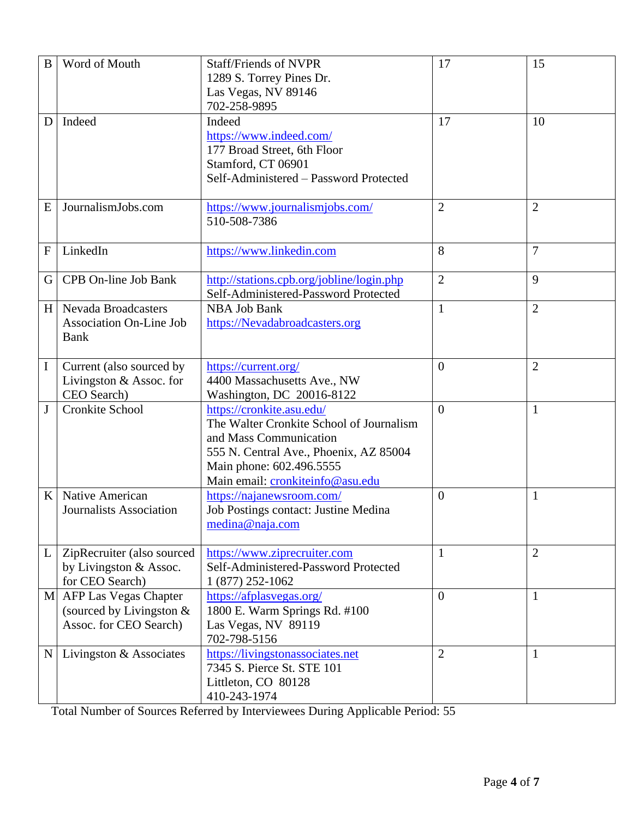| B            | Word of Mouth                                                                   | <b>Staff/Friends of NVPR</b><br>1289 S. Torrey Pines Dr.<br>Las Vegas, NV 89146<br>702-258-9895                                                                                                           | 17             | 15             |
|--------------|---------------------------------------------------------------------------------|-----------------------------------------------------------------------------------------------------------------------------------------------------------------------------------------------------------|----------------|----------------|
| D            | Indeed                                                                          | Indeed<br>https://www.indeed.com/<br>177 Broad Street, 6th Floor<br>Stamford, CT 06901<br>Self-Administered - Password Protected                                                                          | 17             | 10             |
| E            | JournalismJobs.com                                                              | https://www.journalismjobs.com/<br>510-508-7386                                                                                                                                                           | $\overline{2}$ | $\overline{2}$ |
| $\mathbf{F}$ | LinkedIn                                                                        | https://www.linkedin.com                                                                                                                                                                                  | 8              | $\overline{7}$ |
| G            | CPB On-line Job Bank                                                            | http://stations.cpb.org/jobline/login.php<br>Self-Administered-Password Protected                                                                                                                         | $\overline{2}$ | 9              |
| H            | <b>Nevada Broadcasters</b><br><b>Association On-Line Job</b><br>Bank            | <b>NBA Job Bank</b><br>https://Nevadabroadcasters.org                                                                                                                                                     | $\mathbf{1}$   | $\overline{2}$ |
| $\mathbf I$  | Current (also sourced by<br>Livingston & Assoc. for<br>CEO Search)              | https://current.org/<br>4400 Massachusetts Ave., NW<br>Washington, DC 20016-8122                                                                                                                          | $\overline{0}$ | $\overline{2}$ |
| $\mathbf{J}$ | Cronkite School                                                                 | https://cronkite.asu.edu/<br>The Walter Cronkite School of Journalism<br>and Mass Communication<br>555 N. Central Ave., Phoenix, AZ 85004<br>Main phone: 602.496.5555<br>Main email: cronkiteinfo@asu.edu | $\overline{0}$ | $\mathbf{1}$   |
| K            | Native American<br>Journalists Association                                      | https://najanewsroom.com/<br>Job Postings contact: Justine Medina<br>medina@naja.com                                                                                                                      | $\overline{0}$ | $\mathbf{1}$   |
| L            | ZipRecruiter (also sourced<br>by Livingston & Assoc.<br>for CEO Search)         | https://www.ziprecruiter.com<br>Self-Administered-Password Protected<br>1 (877) 252-1062                                                                                                                  | $\mathbf{1}$   | $\overline{2}$ |
|              | M AFP Las Vegas Chapter<br>(sourced by Livingston $&$<br>Assoc. for CEO Search) | https://afplasvegas.org/<br>1800 E. Warm Springs Rd. #100<br>Las Vegas, NV 89119<br>702-798-5156                                                                                                          | $\overline{0}$ | $\mathbf{1}$   |
| $\mathbf N$  | Livingston & Associates                                                         | https://livingstonassociates.net<br>7345 S. Pierce St. STE 101<br>Littleton, CO 80128<br>410-243-1974                                                                                                     | $\overline{2}$ | $\mathbf{1}$   |

Total Number of Sources Referred by Interviewees During Applicable Period: 55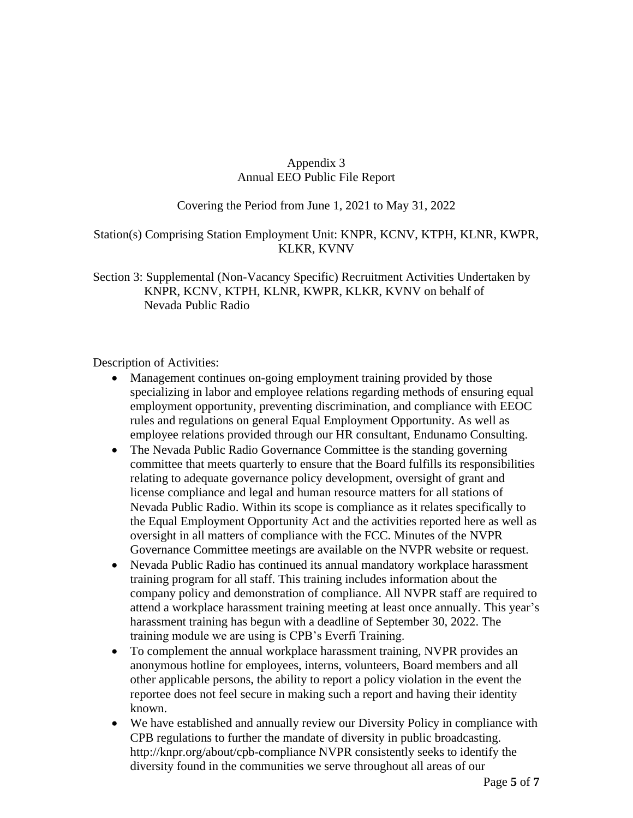#### Appendix 3 Annual EEO Public File Report

### Covering the Period from June 1, 2021 to May 31, 2022

#### Station(s) Comprising Station Employment Unit: KNPR, KCNV, KTPH, KLNR, KWPR, KLKR, KVNV

Section 3: Supplemental (Non-Vacancy Specific) Recruitment Activities Undertaken by KNPR, KCNV, KTPH, KLNR, KWPR, KLKR, KVNV on behalf of Nevada Public Radio

Description of Activities:

- Management continues on-going employment training provided by those specializing in labor and employee relations regarding methods of ensuring equal employment opportunity, preventing discrimination, and compliance with EEOC rules and regulations on general Equal Employment Opportunity. As well as employee relations provided through our HR consultant, Endunamo Consulting.
- The Nevada Public Radio Governance Committee is the standing governing committee that meets quarterly to ensure that the Board fulfills its responsibilities relating to adequate governance policy development, oversight of grant and license compliance and legal and human resource matters for all stations of Nevada Public Radio. Within its scope is compliance as it relates specifically to the Equal Employment Opportunity Act and the activities reported here as well as oversight in all matters of compliance with the FCC. Minutes of the NVPR Governance Committee meetings are available on the NVPR website or request.
- Nevada Public Radio has continued its annual mandatory workplace harassment training program for all staff. This training includes information about the company policy and demonstration of compliance. All NVPR staff are required to attend a workplace harassment training meeting at least once annually. This year's harassment training has begun with a deadline of September 30, 2022. The training module we are using is CPB's Everfi Training.
- To complement the annual workplace harassment training, NVPR provides an anonymous hotline for employees, interns, volunteers, Board members and all other applicable persons, the ability to report a policy violation in the event the reportee does not feel secure in making such a report and having their identity known.
- We have established and annually review our Diversity Policy in compliance with CPB regulations to further the mandate of diversity in public broadcasting. <http://knpr.org/about/cpb-compliance> NVPR consistently seeks to identify the diversity found in the communities we serve throughout all areas of our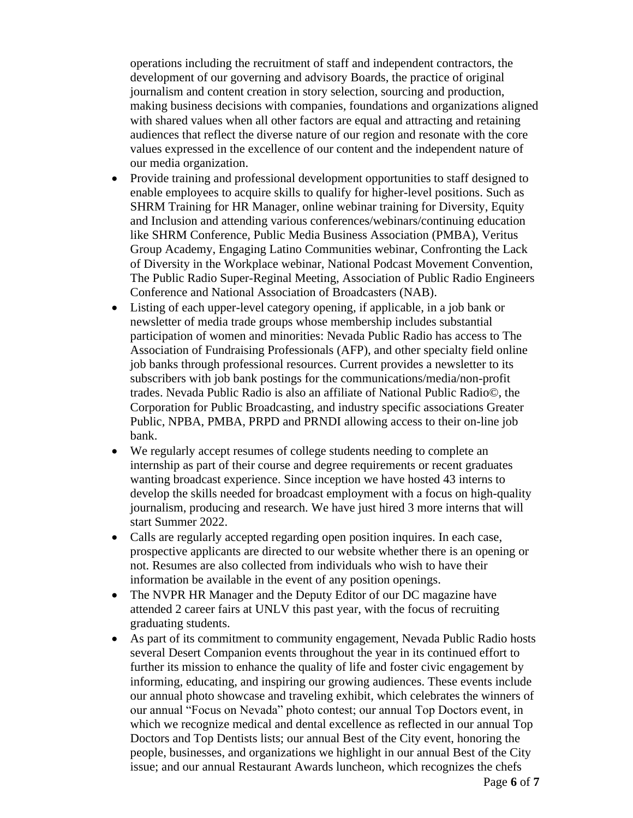operations including the recruitment of staff and independent contractors, the development of our governing and advisory Boards, the practice of original journalism and content creation in story selection, sourcing and production, making business decisions with companies, foundations and organizations aligned with shared values when all other factors are equal and attracting and retaining audiences that reflect the diverse nature of our region and resonate with the core values expressed in the excellence of our content and the independent nature of our media organization.

- Provide training and professional development opportunities to staff designed to enable employees to acquire skills to qualify for higher-level positions. Such as SHRM Training for HR Manager, online webinar training for Diversity, Equity and Inclusion and attending various conferences/webinars/continuing education like SHRM Conference, Public Media Business Association (PMBA), Veritus Group Academy, Engaging Latino Communities webinar, Confronting the Lack of Diversity in the Workplace webinar, National Podcast Movement Convention, The Public Radio Super-Reginal Meeting, Association of Public Radio Engineers Conference and National Association of Broadcasters (NAB).
- Listing of each upper-level category opening, if applicable, in a job bank or newsletter of media trade groups whose membership includes substantial participation of women and minorities: Nevada Public Radio has access to The Association of Fundraising Professionals (AFP), and other specialty field online job banks through professional resources. Current provides a newsletter to its subscribers with job bank postings for the communications/media/non-profit trades. Nevada Public Radio is also an affiliate of National Public Radio©, the Corporation for Public Broadcasting, and industry specific associations Greater Public, NPBA, PMBA, PRPD and PRNDI allowing access to their on-line job bank.
- We regularly accept resumes of college students needing to complete an internship as part of their course and degree requirements or recent graduates wanting broadcast experience. Since inception we have hosted 43 interns to develop the skills needed for broadcast employment with a focus on high-quality journalism, producing and research. We have just hired 3 more interns that will start Summer 2022.
- Calls are regularly accepted regarding open position inquires. In each case, prospective applicants are directed to our website whether there is an opening or not. Resumes are also collected from individuals who wish to have their information be available in the event of any position openings.
- The NVPR HR Manager and the Deputy Editor of our DC magazine have attended 2 career fairs at UNLV this past year, with the focus of recruiting graduating students.
- As part of its commitment to community engagement, Nevada Public Radio hosts several Desert Companion events throughout the year in its continued effort to further its mission to enhance the quality of life and foster civic engagement by informing, educating, and inspiring our growing audiences. These events include our annual photo showcase and traveling exhibit, which celebrates the winners of our annual "Focus on Nevada" photo contest; our annual Top Doctors event, in which we recognize medical and dental excellence as reflected in our annual Top Doctors and Top Dentists lists; our annual Best of the City event, honoring the people, businesses, and organizations we highlight in our annual Best of the City issue; and our annual Restaurant Awards luncheon, which recognizes the chefs